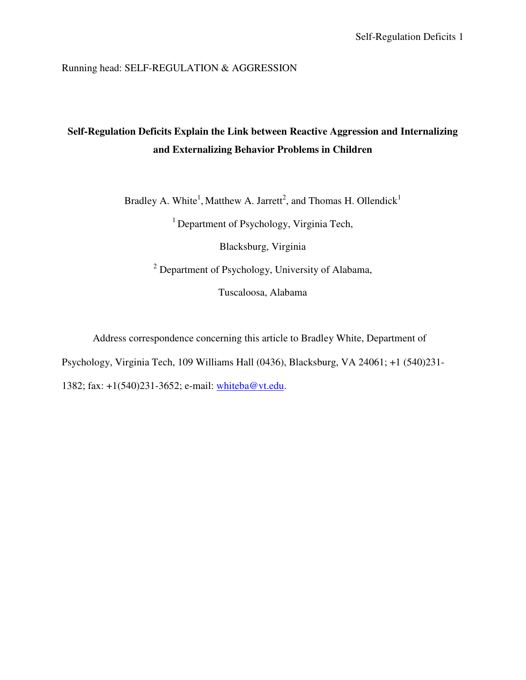Running head: SELF-REGULATION & AGGRESSION

# **Self-Regulation Deficits Explain the Link between Reactive Aggression and Internalizing and Externalizing Behavior Problems in Children**

Bradley A. White<sup>1</sup>, Matthew A. Jarrett<sup>2</sup>, and Thomas H. Ollendick<sup>1</sup>

 $<sup>1</sup>$  Department of Psychology, Virginia Tech,</sup>

Blacksburg, Virginia

<sup>2</sup> Department of Psychology, University of Alabama,

Tuscaloosa, Alabama

Address correspondence concerning this article to Bradley White, Department of

Psychology, Virginia Tech, 109 Williams Hall (0436), Blacksburg, VA 24061; +1 (540)231-

1382; fax: +1(540)231-3652; e-mail: whiteba@vt.edu.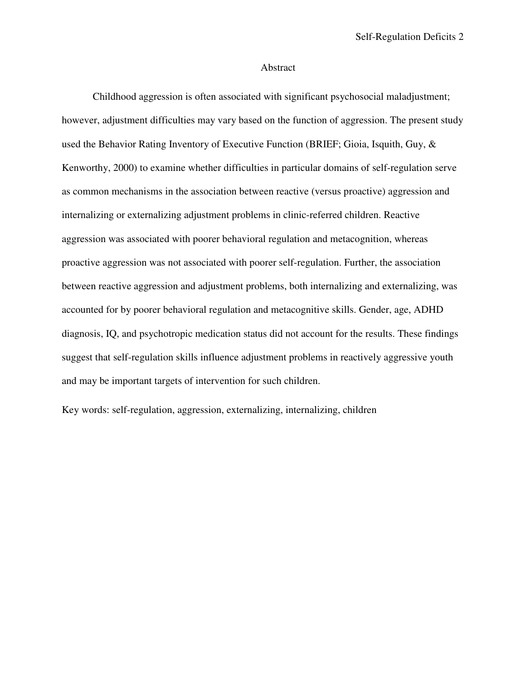#### Abstract

 Childhood aggression is often associated with significant psychosocial maladjustment; however, adjustment difficulties may vary based on the function of aggression. The present study used the Behavior Rating Inventory of Executive Function (BRIEF; Gioia, Isquith, Guy, & Kenworthy, 2000) to examine whether difficulties in particular domains of self-regulation serve as common mechanisms in the association between reactive (versus proactive) aggression and internalizing or externalizing adjustment problems in clinic-referred children. Reactive aggression was associated with poorer behavioral regulation and metacognition, whereas proactive aggression was not associated with poorer self-regulation. Further, the association between reactive aggression and adjustment problems, both internalizing and externalizing, was accounted for by poorer behavioral regulation and metacognitive skills. Gender, age, ADHD diagnosis, IQ, and psychotropic medication status did not account for the results. These findings suggest that self-regulation skills influence adjustment problems in reactively aggressive youth and may be important targets of intervention for such children.

Key words: self-regulation, aggression, externalizing, internalizing, children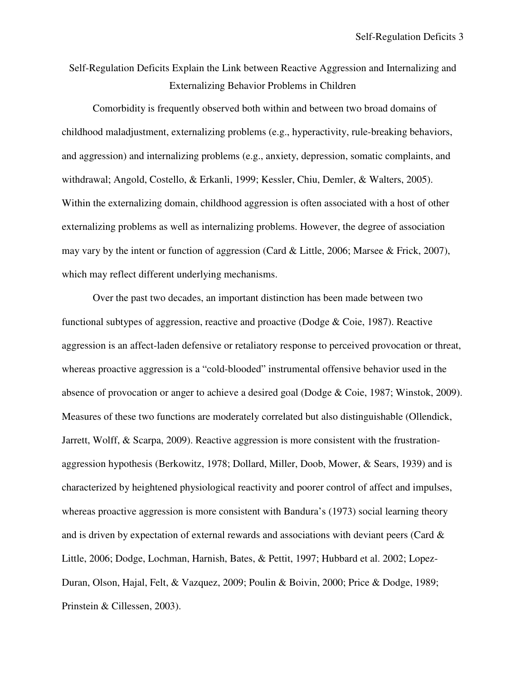# Self-Regulation Deficits Explain the Link between Reactive Aggression and Internalizing and Externalizing Behavior Problems in Children

Comorbidity is frequently observed both within and between two broad domains of childhood maladjustment, externalizing problems (e.g., hyperactivity, rule-breaking behaviors, and aggression) and internalizing problems (e.g., anxiety, depression, somatic complaints, and withdrawal; Angold, Costello, & Erkanli, 1999; Kessler, Chiu, Demler, & Walters, 2005). Within the externalizing domain, childhood aggression is often associated with a host of other externalizing problems as well as internalizing problems. However, the degree of association may vary by the intent or function of aggression (Card & Little, 2006; Marsee & Frick, 2007), which may reflect different underlying mechanisms.

Over the past two decades, an important distinction has been made between two functional subtypes of aggression, reactive and proactive (Dodge & Coie, 1987). Reactive aggression is an affect-laden defensive or retaliatory response to perceived provocation or threat, whereas proactive aggression is a "cold-blooded" instrumental offensive behavior used in the absence of provocation or anger to achieve a desired goal (Dodge & Coie, 1987; Winstok, 2009). Measures of these two functions are moderately correlated but also distinguishable (Ollendick, Jarrett, Wolff, & Scarpa, 2009). Reactive aggression is more consistent with the frustrationaggression hypothesis (Berkowitz, 1978; Dollard, Miller, Doob, Mower, & Sears, 1939) and is characterized by heightened physiological reactivity and poorer control of affect and impulses, whereas proactive aggression is more consistent with Bandura's (1973) social learning theory and is driven by expectation of external rewards and associations with deviant peers (Card  $\&$ Little, 2006; Dodge, Lochman, Harnish, Bates, & Pettit, 1997; Hubbard et al. 2002; Lopez-Duran, Olson, Hajal, Felt, & Vazquez, 2009; Poulin & Boivin, 2000; Price & Dodge, 1989; Prinstein & Cillessen, 2003).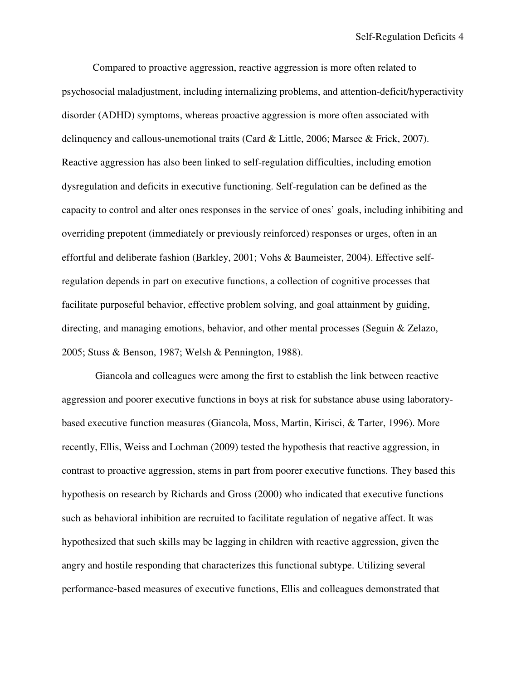Compared to proactive aggression, reactive aggression is more often related to psychosocial maladjustment, including internalizing problems, and attention-deficit/hyperactivity disorder (ADHD) symptoms, whereas proactive aggression is more often associated with delinquency and callous-unemotional traits (Card & Little, 2006; Marsee & Frick, 2007). Reactive aggression has also been linked to self-regulation difficulties, including emotion dysregulation and deficits in executive functioning. Self-regulation can be defined as the capacity to control and alter ones responses in the service of ones' goals, including inhibiting and overriding prepotent (immediately or previously reinforced) responses or urges, often in an effortful and deliberate fashion (Barkley, 2001; Vohs & Baumeister, 2004). Effective selfregulation depends in part on executive functions, a collection of cognitive processes that facilitate purposeful behavior, effective problem solving, and goal attainment by guiding, directing, and managing emotions, behavior, and other mental processes (Seguin & Zelazo, 2005; Stuss & Benson, 1987; Welsh & Pennington, 1988).

 Giancola and colleagues were among the first to establish the link between reactive aggression and poorer executive functions in boys at risk for substance abuse using laboratorybased executive function measures (Giancola, Moss, Martin, Kirisci, & Tarter, 1996). More recently, Ellis, Weiss and Lochman (2009) tested the hypothesis that reactive aggression, in contrast to proactive aggression, stems in part from poorer executive functions. They based this hypothesis on research by Richards and Gross (2000) who indicated that executive functions such as behavioral inhibition are recruited to facilitate regulation of negative affect. It was hypothesized that such skills may be lagging in children with reactive aggression, given the angry and hostile responding that characterizes this functional subtype. Utilizing several performance-based measures of executive functions, Ellis and colleagues demonstrated that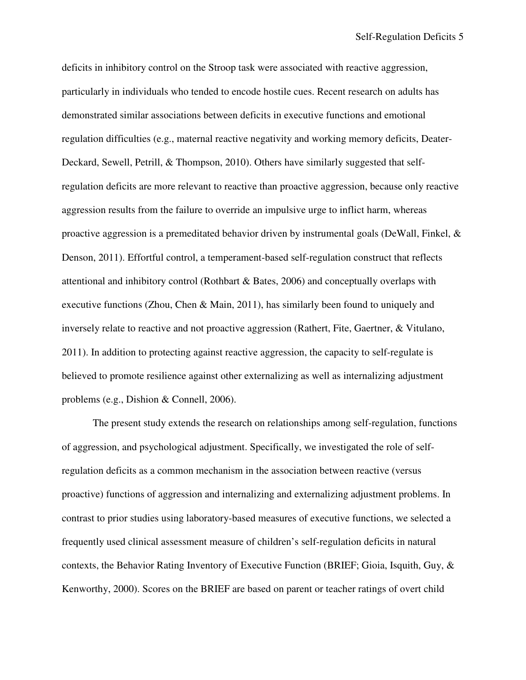deficits in inhibitory control on the Stroop task were associated with reactive aggression, particularly in individuals who tended to encode hostile cues. Recent research on adults has demonstrated similar associations between deficits in executive functions and emotional regulation difficulties (e.g., maternal reactive negativity and working memory deficits, Deater-Deckard, Sewell, Petrill, & Thompson, 2010). Others have similarly suggested that selfregulation deficits are more relevant to reactive than proactive aggression, because only reactive aggression results from the failure to override an impulsive urge to inflict harm, whereas proactive aggression is a premeditated behavior driven by instrumental goals (DeWall, Finkel,  $\&$ Denson, 2011). Effortful control, a temperament-based self-regulation construct that reflects attentional and inhibitory control (Rothbart & Bates, 2006) and conceptually overlaps with executive functions (Zhou, Chen & Main, 2011), has similarly been found to uniquely and inversely relate to reactive and not proactive aggression (Rathert, Fite, Gaertner, & Vitulano, 2011). In addition to protecting against reactive aggression, the capacity to self-regulate is believed to promote resilience against other externalizing as well as internalizing adjustment problems (e.g., Dishion & Connell, 2006).

The present study extends the research on relationships among self-regulation, functions of aggression, and psychological adjustment. Specifically, we investigated the role of selfregulation deficits as a common mechanism in the association between reactive (versus proactive) functions of aggression and internalizing and externalizing adjustment problems. In contrast to prior studies using laboratory-based measures of executive functions, we selected a frequently used clinical assessment measure of children's self-regulation deficits in natural contexts, the Behavior Rating Inventory of Executive Function (BRIEF; Gioia, Isquith, Guy, & Kenworthy, 2000). Scores on the BRIEF are based on parent or teacher ratings of overt child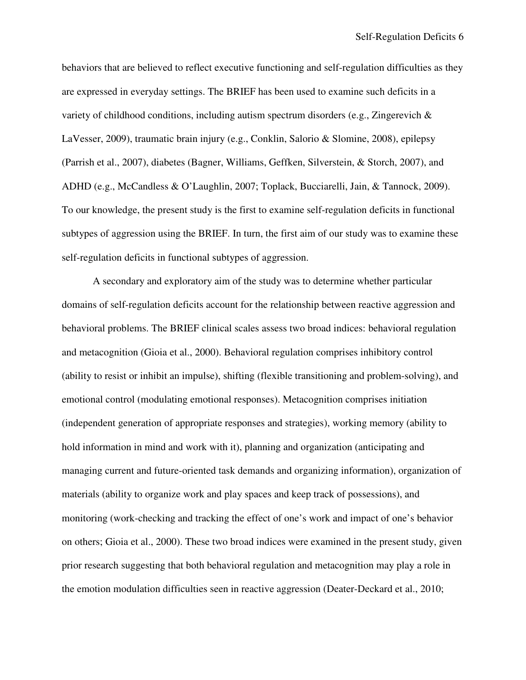behaviors that are believed to reflect executive functioning and self-regulation difficulties as they are expressed in everyday settings. The BRIEF has been used to examine such deficits in a variety of childhood conditions, including autism spectrum disorders (e.g., Zingerevich  $\&$ LaVesser, 2009), traumatic brain injury (e.g., Conklin, Salorio & Slomine, 2008), epilepsy (Parrish et al., 2007), diabetes (Bagner, Williams, Geffken, Silverstein, & Storch, 2007), and ADHD (e.g., McCandless & O'Laughlin, 2007; Toplack, Bucciarelli, Jain, & Tannock, 2009). To our knowledge, the present study is the first to examine self-regulation deficits in functional subtypes of aggression using the BRIEF. In turn, the first aim of our study was to examine these self-regulation deficits in functional subtypes of aggression.

 A secondary and exploratory aim of the study was to determine whether particular domains of self-regulation deficits account for the relationship between reactive aggression and behavioral problems. The BRIEF clinical scales assess two broad indices: behavioral regulation and metacognition (Gioia et al., 2000). Behavioral regulation comprises inhibitory control (ability to resist or inhibit an impulse), shifting (flexible transitioning and problem-solving), and emotional control (modulating emotional responses). Metacognition comprises initiation (independent generation of appropriate responses and strategies), working memory (ability to hold information in mind and work with it), planning and organization (anticipating and managing current and future-oriented task demands and organizing information), organization of materials (ability to organize work and play spaces and keep track of possessions), and monitoring (work-checking and tracking the effect of one's work and impact of one's behavior on others; Gioia et al., 2000). These two broad indices were examined in the present study, given prior research suggesting that both behavioral regulation and metacognition may play a role in the emotion modulation difficulties seen in reactive aggression (Deater-Deckard et al., 2010;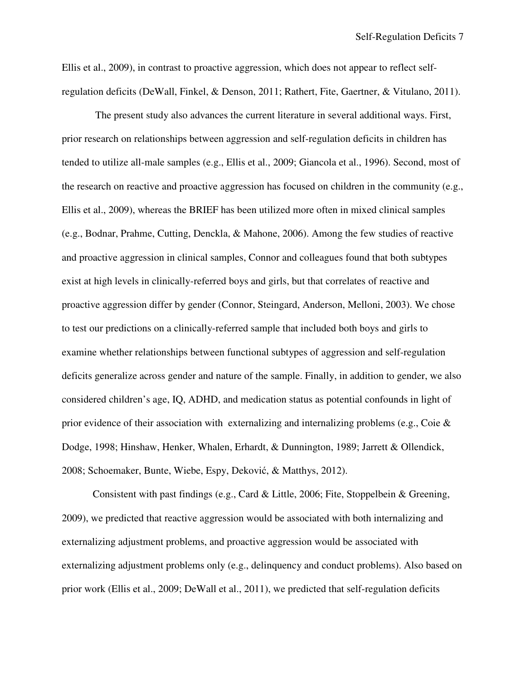Ellis et al., 2009), in contrast to proactive aggression, which does not appear to reflect selfregulation deficits (DeWall, Finkel, & Denson, 2011; Rathert, Fite, Gaertner, & Vitulano, 2011).

 The present study also advances the current literature in several additional ways. First, prior research on relationships between aggression and self-regulation deficits in children has tended to utilize all-male samples (e.g., Ellis et al., 2009; Giancola et al., 1996). Second, most of the research on reactive and proactive aggression has focused on children in the community (e.g., Ellis et al., 2009), whereas the BRIEF has been utilized more often in mixed clinical samples (e.g., Bodnar, Prahme, Cutting, Denckla, & Mahone, 2006). Among the few studies of reactive and proactive aggression in clinical samples, Connor and colleagues found that both subtypes exist at high levels in clinically-referred boys and girls, but that correlates of reactive and proactive aggression differ by gender (Connor, Steingard, Anderson, Melloni, 2003). We chose to test our predictions on a clinically-referred sample that included both boys and girls to examine whether relationships between functional subtypes of aggression and self-regulation deficits generalize across gender and nature of the sample. Finally, in addition to gender, we also considered children's age, IQ, ADHD, and medication status as potential confounds in light of prior evidence of their association with externalizing and internalizing problems (e.g., Coie & Dodge, 1998; Hinshaw, Henker, Whalen, Erhardt, & Dunnington, 1989; Jarrett & Ollendick, 2008; Schoemaker, Bunte, Wiebe, Espy, Deković, & Matthys, 2012).

Consistent with past findings (e.g., Card & Little, 2006; Fite, Stoppelbein & Greening, 2009), we predicted that reactive aggression would be associated with both internalizing and externalizing adjustment problems, and proactive aggression would be associated with externalizing adjustment problems only (e.g., delinquency and conduct problems). Also based on prior work (Ellis et al., 2009; DeWall et al., 2011), we predicted that self-regulation deficits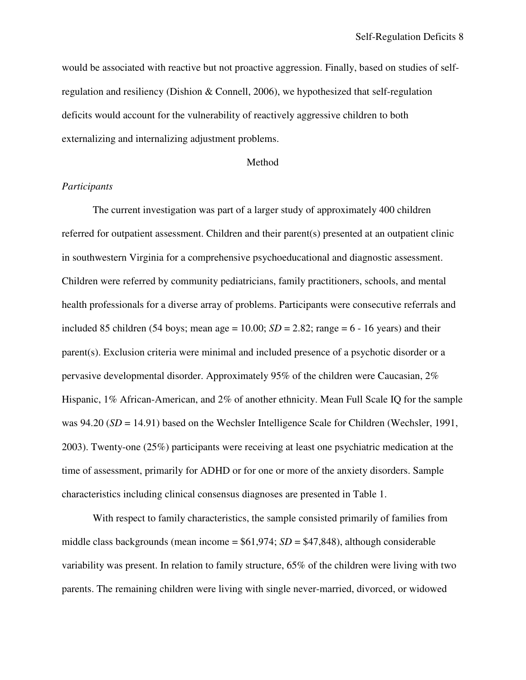would be associated with reactive but not proactive aggression. Finally, based on studies of selfregulation and resiliency (Dishion & Connell, 2006), we hypothesized that self-regulation deficits would account for the vulnerability of reactively aggressive children to both externalizing and internalizing adjustment problems.

#### Method

### *Participants*

 The current investigation was part of a larger study of approximately 400 children referred for outpatient assessment. Children and their parent(s) presented at an outpatient clinic in southwestern Virginia for a comprehensive psychoeducational and diagnostic assessment. Children were referred by community pediatricians, family practitioners, schools, and mental health professionals for a diverse array of problems. Participants were consecutive referrals and included 85 children (54 boys; mean age =  $10.00$ ; *SD* =  $2.82$ ; range =  $6 - 16$  years) and their parent(s). Exclusion criteria were minimal and included presence of a psychotic disorder or a pervasive developmental disorder. Approximately 95% of the children were Caucasian, 2% Hispanic, 1% African-American, and 2% of another ethnicity. Mean Full Scale IQ for the sample was 94.20 (*SD* = 14.91) based on the Wechsler Intelligence Scale for Children (Wechsler, 1991, 2003). Twenty-one (25%) participants were receiving at least one psychiatric medication at the time of assessment, primarily for ADHD or for one or more of the anxiety disorders. Sample characteristics including clinical consensus diagnoses are presented in Table 1.

With respect to family characteristics, the sample consisted primarily of families from middle class backgrounds (mean income  $= $61,974$ ; *SD*  $= $47,848$ ), although considerable variability was present. In relation to family structure, 65% of the children were living with two parents. The remaining children were living with single never-married, divorced, or widowed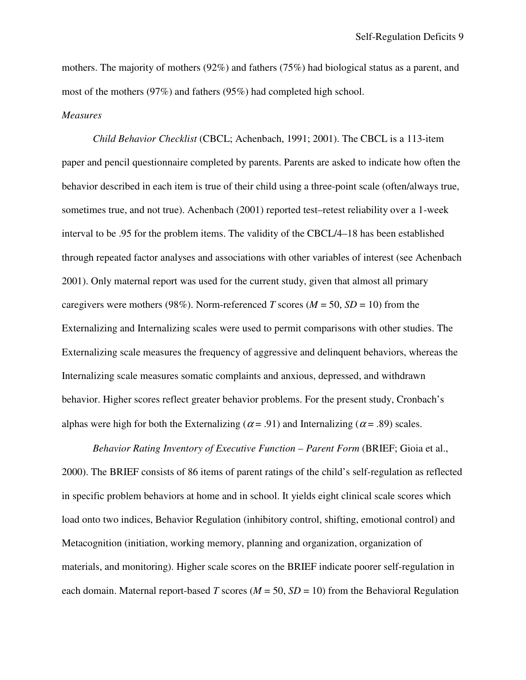mothers. The majority of mothers (92%) and fathers (75%) had biological status as a parent, and most of the mothers (97%) and fathers (95%) had completed high school.

#### *Measures*

*Child Behavior Checklist* (CBCL; Achenbach, 1991; 2001). The CBCL is a 113-item paper and pencil questionnaire completed by parents. Parents are asked to indicate how often the behavior described in each item is true of their child using a three-point scale (often/always true, sometimes true, and not true). Achenbach (2001) reported test–retest reliability over a 1-week interval to be .95 for the problem items. The validity of the CBCL/4–18 has been established through repeated factor analyses and associations with other variables of interest (see Achenbach 2001). Only maternal report was used for the current study, given that almost all primary caregivers were mothers (98%). Norm-referenced *T* scores ( $M = 50$ ,  $SD = 10$ ) from the Externalizing and Internalizing scales were used to permit comparisons with other studies. The Externalizing scale measures the frequency of aggressive and delinquent behaviors, whereas the Internalizing scale measures somatic complaints and anxious, depressed, and withdrawn behavior. Higher scores reflect greater behavior problems. For the present study, Cronbach's alphas were high for both the Externalizing ( $\alpha$  = .91) and Internalizing ( $\alpha$  = .89) scales.

*Behavior Rating Inventory of Executive Function – Parent Form* (BRIEF; Gioia et al., 2000). The BRIEF consists of 86 items of parent ratings of the child's self-regulation as reflected in specific problem behaviors at home and in school. It yields eight clinical scale scores which load onto two indices, Behavior Regulation (inhibitory control, shifting, emotional control) and Metacognition (initiation, working memory, planning and organization, organization of materials, and monitoring). Higher scale scores on the BRIEF indicate poorer self-regulation in each domain. Maternal report-based *T* scores ( $M = 50$ ,  $SD = 10$ ) from the Behavioral Regulation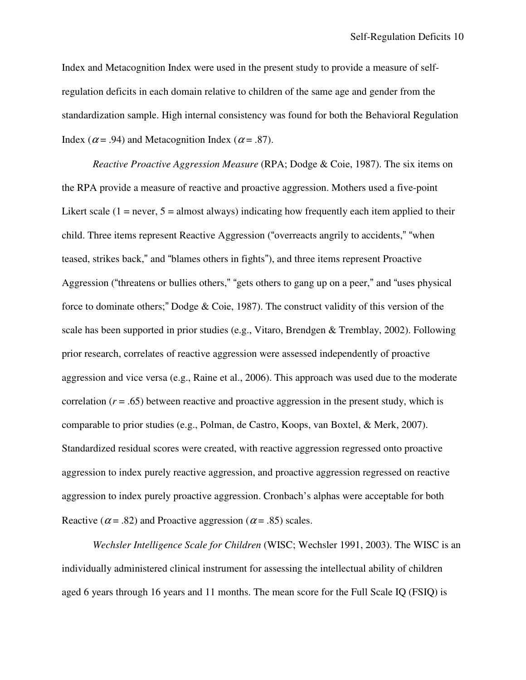Index and Metacognition Index were used in the present study to provide a measure of selfregulation deficits in each domain relative to children of the same age and gender from the standardization sample. High internal consistency was found for both the Behavioral Regulation Index ( $\alpha$  = .94) and Metacognition Index ( $\alpha$  = .87).

*Reactive Proactive Aggression Measure* (RPA; Dodge & Coie, 1987). The six items on the RPA provide a measure of reactive and proactive aggression. Mothers used a five-point Likert scale  $(1 = never, 5 = almost always)$  indicating how frequently each item applied to their child. Three items represent Reactive Aggression ("overreacts angrily to accidents," "when teased, strikes back," and "blames others in fights"), and three items represent Proactive Aggression ("threatens or bullies others," "gets others to gang up on a peer," and "uses physical force to dominate others;" Dodge & Coie, 1987). The construct validity of this version of the scale has been supported in prior studies (e.g., Vitaro, Brendgen & Tremblay, 2002). Following prior research, correlates of reactive aggression were assessed independently of proactive aggression and vice versa (e.g., Raine et al., 2006). This approach was used due to the moderate correlation  $(r = .65)$  between reactive and proactive aggression in the present study, which is comparable to prior studies (e.g., Polman, de Castro, Koops, van Boxtel, & Merk, 2007). Standardized residual scores were created, with reactive aggression regressed onto proactive aggression to index purely reactive aggression, and proactive aggression regressed on reactive aggression to index purely proactive aggression. Cronbach's alphas were acceptable for both Reactive ( $\alpha$  = .82) and Proactive aggression ( $\alpha$  = .85) scales.

*Wechsler Intelligence Scale for Children* (WISC; Wechsler 1991, 2003). The WISC is an individually administered clinical instrument for assessing the intellectual ability of children aged 6 years through 16 years and 11 months. The mean score for the Full Scale IQ (FSIQ) is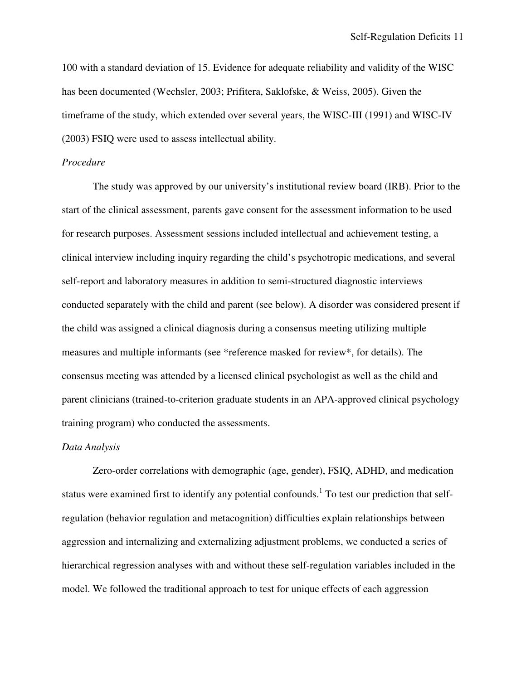100 with a standard deviation of 15. Evidence for adequate reliability and validity of the WISC has been documented (Wechsler, 2003; Prifitera, Saklofske, & Weiss, 2005). Given the timeframe of the study, which extended over several years, the WISC-III (1991) and WISC-IV (2003) FSIQ were used to assess intellectual ability.

#### *Procedure*

 The study was approved by our university's institutional review board (IRB). Prior to the start of the clinical assessment, parents gave consent for the assessment information to be used for research purposes. Assessment sessions included intellectual and achievement testing, a clinical interview including inquiry regarding the child's psychotropic medications, and several self-report and laboratory measures in addition to semi-structured diagnostic interviews conducted separately with the child and parent (see below). A disorder was considered present if the child was assigned a clinical diagnosis during a consensus meeting utilizing multiple measures and multiple informants (see \*reference masked for review\*, for details). The consensus meeting was attended by a licensed clinical psychologist as well as the child and parent clinicians (trained-to-criterion graduate students in an APA-approved clinical psychology training program) who conducted the assessments.

#### *Data Analysis*

Zero-order correlations with demographic (age, gender), FSIQ, ADHD, and medication status were examined first to identify any potential confounds.<sup>1</sup> To test our prediction that selfregulation (behavior regulation and metacognition) difficulties explain relationships between aggression and internalizing and externalizing adjustment problems, we conducted a series of hierarchical regression analyses with and without these self-regulation variables included in the model. We followed the traditional approach to test for unique effects of each aggression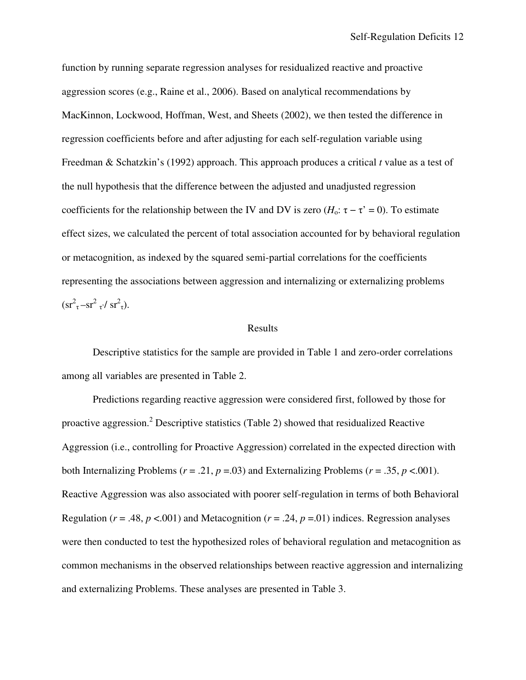function by running separate regression analyses for residualized reactive and proactive aggression scores (e.g., Raine et al., 2006). Based on analytical recommendations by MacKinnon, Lockwood, Hoffman, West, and Sheets (2002), we then tested the difference in regression coefficients before and after adjusting for each self-regulation variable using Freedman & Schatzkin's (1992) approach. This approach produces a critical *t* value as a test of the null hypothesis that the difference between the adjusted and unadjusted regression coefficients for the relationship between the IV and DV is zero  $(H_0: \tau - \tau' = 0)$ . To estimate effect sizes, we calculated the percent of total association accounted for by behavioral regulation or metacognition, as indexed by the squared semi-partial correlations for the coefficients representing the associations between aggression and internalizing or externalizing problems  $\rm (sr^2_{\tau}-sr^2_{\tau}/ sr^2_{\tau}).$ 

#### Results

Descriptive statistics for the sample are provided in Table 1 and zero-order correlations among all variables are presented in Table 2.

Predictions regarding reactive aggression were considered first, followed by those for proactive aggression.<sup>2</sup> Descriptive statistics (Table 2) showed that residualized Reactive Aggression (i.e., controlling for Proactive Aggression) correlated in the expected direction with both Internalizing Problems ( $r = .21$ ,  $p = .03$ ) and Externalizing Problems ( $r = .35$ ,  $p < .001$ ). Reactive Aggression was also associated with poorer self-regulation in terms of both Behavioral Regulation ( $r = .48$ ,  $p < .001$ ) and Metacognition ( $r = .24$ ,  $p = .01$ ) indices. Regression analyses were then conducted to test the hypothesized roles of behavioral regulation and metacognition as common mechanisms in the observed relationships between reactive aggression and internalizing and externalizing Problems. These analyses are presented in Table 3.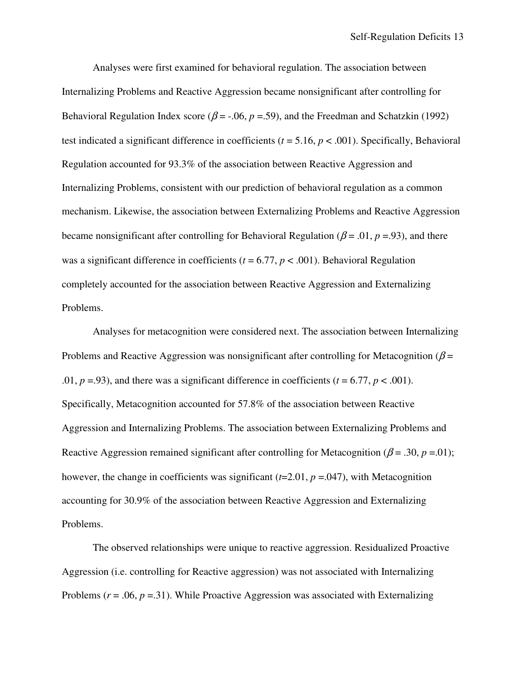Analyses were first examined for behavioral regulation. The association between Internalizing Problems and Reactive Aggression became nonsignificant after controlling for Behavioral Regulation Index score ( $\beta$  = -.06,  $p$  =.59), and the Freedman and Schatzkin (1992) test indicated a significant difference in coefficients  $(t = 5.16, p < .001)$ . Specifically, Behavioral Regulation accounted for 93.3% of the association between Reactive Aggression and Internalizing Problems, consistent with our prediction of behavioral regulation as a common mechanism. Likewise, the association between Externalizing Problems and Reactive Aggression became nonsignificant after controlling for Behavioral Regulation ( $\beta$  = .01,  $p$  = .93), and there was a significant difference in coefficients ( $t = 6.77$ ,  $p < .001$ ). Behavioral Regulation completely accounted for the association between Reactive Aggression and Externalizing Problems.

Analyses for metacognition were considered next. The association between Internalizing Problems and Reactive Aggression was nonsignificant after controlling for Metacognition ( $\beta$  = .01,  $p = .93$ ), and there was a significant difference in coefficients ( $t = 6.77$ ,  $p < .001$ ). Specifically, Metacognition accounted for 57.8% of the association between Reactive Aggression and Internalizing Problems. The association between Externalizing Problems and Reactive Aggression remained significant after controlling for Metacognition ( $\beta$  = .30, *p* = .01); however, the change in coefficients was significant (*t*=2.01, *p* =.047), with Metacognition accounting for 30.9% of the association between Reactive Aggression and Externalizing Problems.

 The observed relationships were unique to reactive aggression. Residualized Proactive Aggression (i.e. controlling for Reactive aggression) was not associated with Internalizing Problems ( $r = .06$ ,  $p = .31$ ). While Proactive Aggression was associated with Externalizing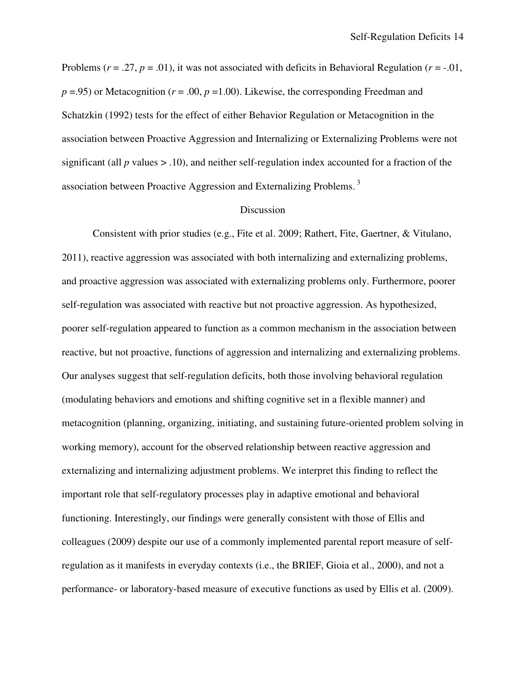Problems  $(r = .27, p = .01)$ , it was not associated with deficits in Behavioral Regulation  $(r = .01)$ ,  $p = .95$ ) or Metacognition ( $r = .00$ ,  $p = 1.00$ ). Likewise, the corresponding Freedman and Schatzkin (1992) tests for the effect of either Behavior Regulation or Metacognition in the association between Proactive Aggression and Internalizing or Externalizing Problems were not significant (all  $p$  values  $> 0.10$ ), and neither self-regulation index accounted for a fraction of the association between Proactive Aggression and Externalizing Problems.<sup>3</sup>

#### Discussion

 Consistent with prior studies (e.g., Fite et al. 2009; Rathert, Fite, Gaertner, & Vitulano, 2011), reactive aggression was associated with both internalizing and externalizing problems, and proactive aggression was associated with externalizing problems only. Furthermore, poorer self-regulation was associated with reactive but not proactive aggression. As hypothesized, poorer self-regulation appeared to function as a common mechanism in the association between reactive, but not proactive, functions of aggression and internalizing and externalizing problems. Our analyses suggest that self-regulation deficits, both those involving behavioral regulation (modulating behaviors and emotions and shifting cognitive set in a flexible manner) and metacognition (planning, organizing, initiating, and sustaining future-oriented problem solving in working memory), account for the observed relationship between reactive aggression and externalizing and internalizing adjustment problems. We interpret this finding to reflect the important role that self-regulatory processes play in adaptive emotional and behavioral functioning. Interestingly, our findings were generally consistent with those of Ellis and colleagues (2009) despite our use of a commonly implemented parental report measure of selfregulation as it manifests in everyday contexts (i.e., the BRIEF, Gioia et al., 2000), and not a performance- or laboratory-based measure of executive functions as used by Ellis et al. (2009).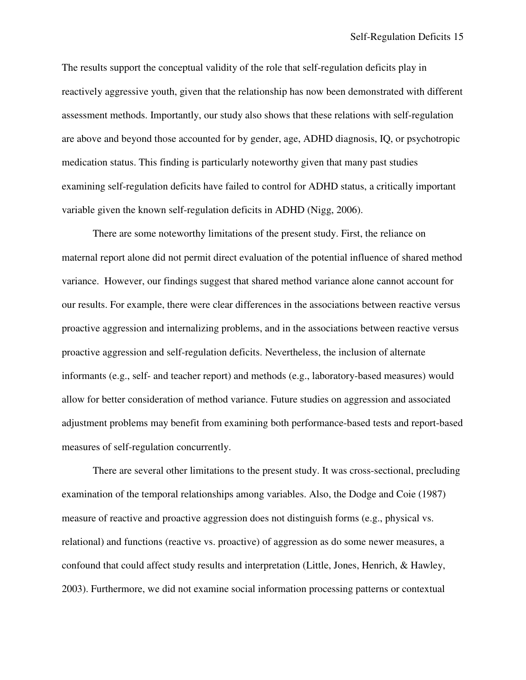The results support the conceptual validity of the role that self-regulation deficits play in reactively aggressive youth, given that the relationship has now been demonstrated with different assessment methods. Importantly, our study also shows that these relations with self-regulation are above and beyond those accounted for by gender, age, ADHD diagnosis, IQ, or psychotropic medication status. This finding is particularly noteworthy given that many past studies examining self-regulation deficits have failed to control for ADHD status, a critically important variable given the known self-regulation deficits in ADHD (Nigg, 2006).

There are some noteworthy limitations of the present study. First, the reliance on maternal report alone did not permit direct evaluation of the potential influence of shared method variance. However, our findings suggest that shared method variance alone cannot account for our results. For example, there were clear differences in the associations between reactive versus proactive aggression and internalizing problems, and in the associations between reactive versus proactive aggression and self-regulation deficits. Nevertheless, the inclusion of alternate informants (e.g., self- and teacher report) and methods (e.g., laboratory-based measures) would allow for better consideration of method variance. Future studies on aggression and associated adjustment problems may benefit from examining both performance-based tests and report-based measures of self-regulation concurrently.

There are several other limitations to the present study. It was cross-sectional, precluding examination of the temporal relationships among variables. Also, the Dodge and Coie (1987) measure of reactive and proactive aggression does not distinguish forms (e.g., physical vs. relational) and functions (reactive vs. proactive) of aggression as do some newer measures, a confound that could affect study results and interpretation (Little, Jones, Henrich, & Hawley, 2003). Furthermore, we did not examine social information processing patterns or contextual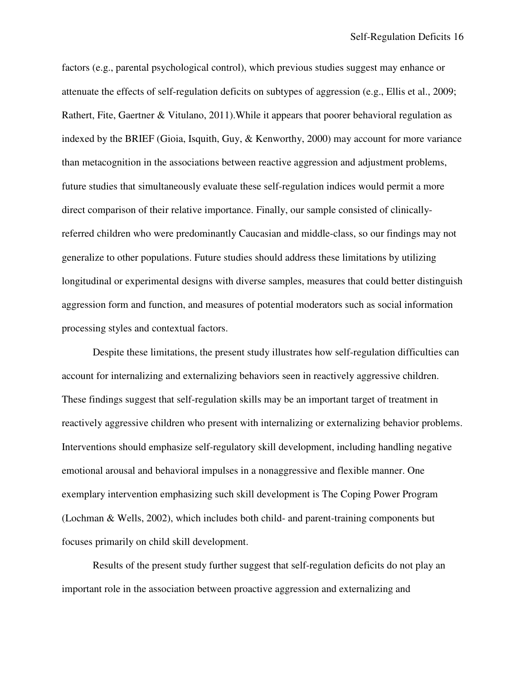factors (e.g., parental psychological control), which previous studies suggest may enhance or attenuate the effects of self-regulation deficits on subtypes of aggression (e.g., Ellis et al., 2009; Rathert, Fite, Gaertner & Vitulano, 2011).While it appears that poorer behavioral regulation as indexed by the BRIEF (Gioia, Isquith, Guy, & Kenworthy, 2000) may account for more variance than metacognition in the associations between reactive aggression and adjustment problems, future studies that simultaneously evaluate these self-regulation indices would permit a more direct comparison of their relative importance. Finally, our sample consisted of clinicallyreferred children who were predominantly Caucasian and middle-class, so our findings may not generalize to other populations. Future studies should address these limitations by utilizing longitudinal or experimental designs with diverse samples, measures that could better distinguish aggression form and function, and measures of potential moderators such as social information processing styles and contextual factors.

Despite these limitations, the present study illustrates how self-regulation difficulties can account for internalizing and externalizing behaviors seen in reactively aggressive children. These findings suggest that self-regulation skills may be an important target of treatment in reactively aggressive children who present with internalizing or externalizing behavior problems. Interventions should emphasize self-regulatory skill development, including handling negative emotional arousal and behavioral impulses in a nonaggressive and flexible manner. One exemplary intervention emphasizing such skill development is The Coping Power Program (Lochman & Wells, 2002), which includes both child- and parent-training components but focuses primarily on child skill development.

Results of the present study further suggest that self-regulation deficits do not play an important role in the association between proactive aggression and externalizing and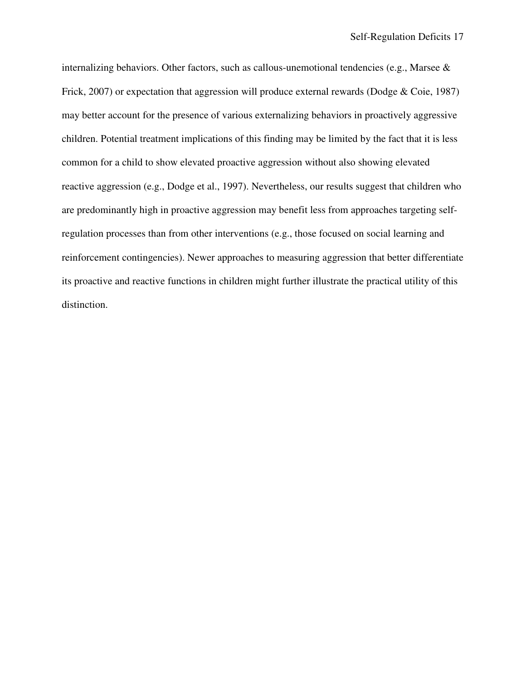internalizing behaviors. Other factors, such as callous-unemotional tendencies (e.g., Marsee & Frick, 2007) or expectation that aggression will produce external rewards (Dodge & Coie, 1987) may better account for the presence of various externalizing behaviors in proactively aggressive children. Potential treatment implications of this finding may be limited by the fact that it is less common for a child to show elevated proactive aggression without also showing elevated reactive aggression (e.g., Dodge et al., 1997). Nevertheless, our results suggest that children who are predominantly high in proactive aggression may benefit less from approaches targeting selfregulation processes than from other interventions (e.g., those focused on social learning and reinforcement contingencies). Newer approaches to measuring aggression that better differentiate its proactive and reactive functions in children might further illustrate the practical utility of this distinction.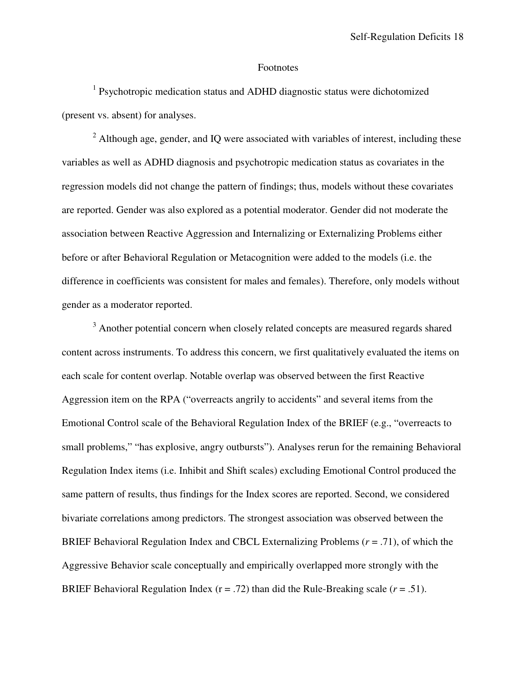#### Footnotes

<sup>1</sup> Psychotropic medication status and ADHD diagnostic status were dichotomized (present vs. absent) for analyses.

 $2$  Although age, gender, and IQ were associated with variables of interest, including these variables as well as ADHD diagnosis and psychotropic medication status as covariates in the regression models did not change the pattern of findings; thus, models without these covariates are reported. Gender was also explored as a potential moderator. Gender did not moderate the association between Reactive Aggression and Internalizing or Externalizing Problems either before or after Behavioral Regulation or Metacognition were added to the models (i.e. the difference in coefficients was consistent for males and females). Therefore, only models without gender as a moderator reported.

<sup>3</sup> Another potential concern when closely related concepts are measured regards shared content across instruments. To address this concern, we first qualitatively evaluated the items on each scale for content overlap. Notable overlap was observed between the first Reactive Aggression item on the RPA ("overreacts angrily to accidents" and several items from the Emotional Control scale of the Behavioral Regulation Index of the BRIEF (e.g., "overreacts to small problems," "has explosive, angry outbursts"). Analyses rerun for the remaining Behavioral Regulation Index items (i.e. Inhibit and Shift scales) excluding Emotional Control produced the same pattern of results, thus findings for the Index scores are reported. Second, we considered bivariate correlations among predictors. The strongest association was observed between the BRIEF Behavioral Regulation Index and CBCL Externalizing Problems (*r* = .71), of which the Aggressive Behavior scale conceptually and empirically overlapped more strongly with the BRIEF Behavioral Regulation Index  $(r = .72)$  than did the Rule-Breaking scale  $(r = .51)$ .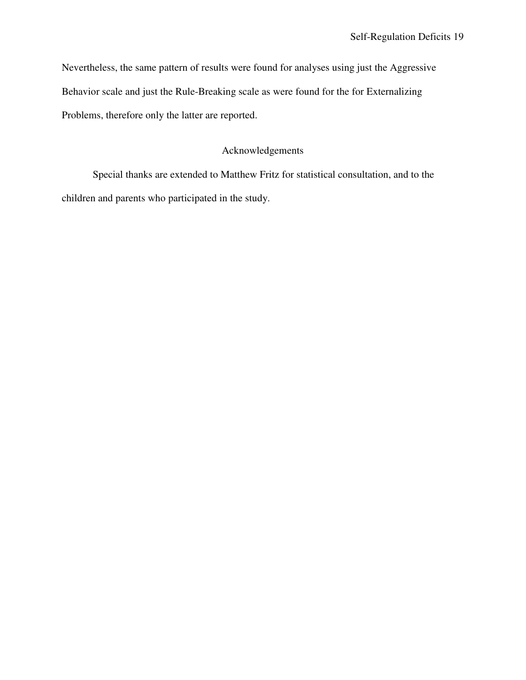Nevertheless, the same pattern of results were found for analyses using just the Aggressive Behavior scale and just the Rule-Breaking scale as were found for the for Externalizing Problems, therefore only the latter are reported.

## Acknowledgements

Special thanks are extended to Matthew Fritz for statistical consultation, and to the children and parents who participated in the study.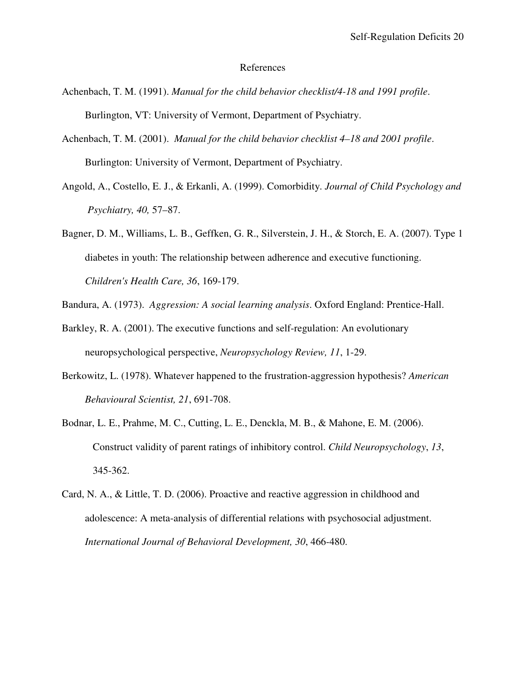#### References

- Achenbach, T. M. (1991). *Manual for the child behavior checklist/4-18 and 1991 profile*. Burlington, VT: University of Vermont, Department of Psychiatry.
- Achenbach, T. M. (2001). *Manual for the child behavior checklist 4–18 and 2001 profile*. Burlington: University of Vermont, Department of Psychiatry.
- Angold, A., Costello, E. J., & Erkanli, A. (1999). Comorbidity. *Journal of Child Psychology and Psychiatry, 40,* 57–87.
- Bagner, D. M., Williams, L. B., Geffken, G. R., Silverstein, J. H., & Storch, E. A. (2007). Type 1 diabetes in youth: The relationship between adherence and executive functioning. *Children's Health Care, 36*, 169-179.

Bandura, A. (1973). *Aggression: A social learning analysis*. Oxford England: Prentice-Hall.

- Barkley, R. A. (2001). The executive functions and self-regulation: An evolutionary neuropsychological perspective, *Neuropsychology Review, 11*, 1-29.
- Berkowitz, L. (1978). Whatever happened to the frustration-aggression hypothesis? *American Behavioural Scientist, 21*, 691-708.
- Bodnar, L. E., Prahme, M. C., Cutting, L. E., Denckla, M. B., & Mahone, E. M. (2006). Construct validity of parent ratings of inhibitory control. *Child Neuropsychology*, *13*, 345-362.
- Card, N. A., & Little, T. D. (2006). Proactive and reactive aggression in childhood and adolescence: A meta-analysis of differential relations with psychosocial adjustment. *International Journal of Behavioral Development, 30*, 466-480.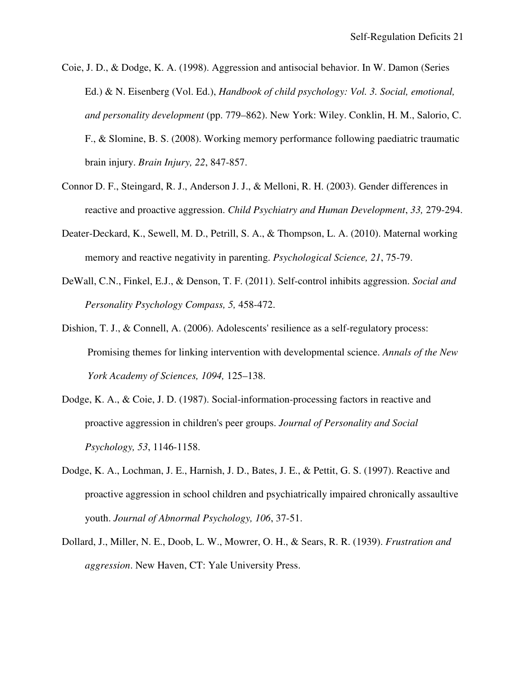- Coie, J. D., & Dodge, K. A. (1998). Aggression and antisocial behavior. In W. Damon (Series Ed.) & N. Eisenberg (Vol. Ed.), *Handbook of child psychology: Vol. 3. Social, emotional, and personality development* (pp. 779–862). New York: Wiley. Conklin, H. M., Salorio, C. F., & Slomine, B. S. (2008). Working memory performance following paediatric traumatic brain injury. *Brain Injury, 22*, 847-857.
- Connor D. F., Steingard, R. J., Anderson J. J., & Melloni, R. H. (2003). Gender differences in reactive and proactive aggression. *Child Psychiatry and Human Development*, *33,* 279-294.
- Deater-Deckard, K., Sewell, M. D., Petrill, S. A., & Thompson, L. A. (2010). Maternal working memory and reactive negativity in parenting. *Psychological Science, 21*, 75-79.
- DeWall, C.N., Finkel, E.J., & Denson, T. F. (2011). Self-control inhibits aggression. *Social and Personality Psychology Compass, 5,* 458-472.
- Dishion, T. J., & Connell, A. (2006). Adolescents' resilience as a self-regulatory process: Promising themes for linking intervention with developmental science. *Annals of the New York Academy of Sciences, 1094,* 125–138.
- Dodge, K. A., & Coie, J. D. (1987). Social-information-processing factors in reactive and proactive aggression in children's peer groups. *Journal of Personality and Social Psychology, 53*, 1146-1158.
- Dodge, K. A., Lochman, J. E., Harnish, J. D., Bates, J. E., & Pettit, G. S. (1997). Reactive and proactive aggression in school children and psychiatrically impaired chronically assaultive youth. *Journal of Abnormal Psychology, 106*, 37-51.
- Dollard, J., Miller, N. E., Doob, L. W., Mowrer, O. H., & Sears, R. R. (1939). *Frustration and aggression*. New Haven, CT: Yale University Press.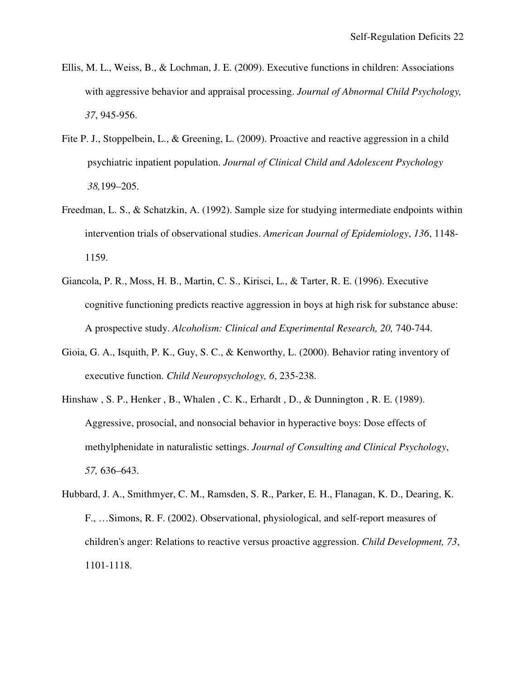- Ellis, M. L., Weiss, B., & Lochman, J. E. (2009). Executive functions in children: Associations with aggressive behavior and appraisal processing. *Journal of Abnormal Child Psychology, 37*, 945-956.
- Fite P. J., Stoppelbein, L., & Greening, L. (2009). Proactive and reactive aggression in a child psychiatric inpatient population. *Journal of Clinical Child and Adolescent Psychology 38,*199–205.
- Freedman, L. S., & Schatzkin, A. (1992). Sample size for studying intermediate endpoints within intervention trials of observational studies. *American Journal of Epidemiology*, *136*, 1148- 1159.
- Giancola, P. R., Moss, H. B., Martin, C. S., Kirisci, L., & Tarter, R. E. (1996). Executive cognitive functioning predicts reactive aggression in boys at high risk for substance abuse: A prospective study. *Alcoholism: Clinical and Experimental Research, 20,* 740-744.
- Gioia, G. A., Isquith, P. K., Guy, S. C., & Kenworthy, L. (2000). Behavior rating inventory of executive function. *Child Neuropsychology, 6*, 235-238.
- Hinshaw , S. P., Henker , B., Whalen , C. K., Erhardt , D., & Dunnington , R. E. (1989). Aggressive, prosocial, and nonsocial behavior in hyperactive boys: Dose effects of methylphenidate in naturalistic settings. *Journal of Consulting and Clinical Psychology*, *57,* 636–643.
- Hubbard, J. A., Smithmyer, C. M., Ramsden, S. R., Parker, E. H., Flanagan, K. D., Dearing, K. F., …Simons, R. F. (2002). Observational, physiological, and self-report measures of children's anger: Relations to reactive versus proactive aggression. *Child Development, 73*, 1101-1118.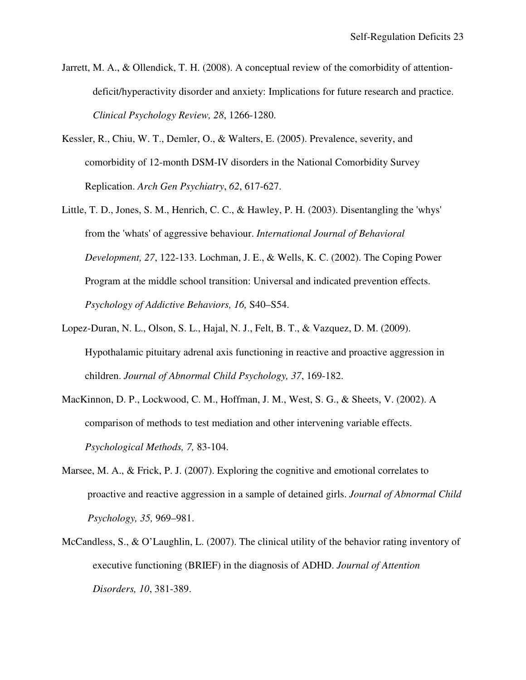- Jarrett, M. A., & Ollendick, T. H. (2008). A conceptual review of the comorbidity of attentiondeficit/hyperactivity disorder and anxiety: Implications for future research and practice. *Clinical Psychology Review, 28*, 1266-1280.
- Kessler, R., Chiu, W. T., Demler, O., & Walters, E. (2005). Prevalence, severity, and comorbidity of 12-month DSM-IV disorders in the National Comorbidity Survey Replication. *Arch Gen Psychiatry*, *62*, 617-627.
- Little, T. D., Jones, S. M., Henrich, C. C., & Hawley, P. H. (2003). Disentangling the 'whys' from the 'whats' of aggressive behaviour. *International Journal of Behavioral Development, 27*, 122-133. Lochman, J. E., & Wells, K. C. (2002). The Coping Power Program at the middle school transition: Universal and indicated prevention effects. *Psychology of Addictive Behaviors, 16,* S40–S54.
- Lopez-Duran, N. L., Olson, S. L., Hajal, N. J., Felt, B. T., & Vazquez, D. M. (2009). Hypothalamic pituitary adrenal axis functioning in reactive and proactive aggression in children. *Journal of Abnormal Child Psychology, 37*, 169-182.
- MacKinnon, D. P., Lockwood, C. M., Hoffman, J. M., West, S. G., & Sheets, V. (2002). A comparison of methods to test mediation and other intervening variable effects. *Psychological Methods, 7,* 83-104.
- Marsee, M. A., & Frick, P. J. (2007). Exploring the cognitive and emotional correlates to proactive and reactive aggression in a sample of detained girls. *Journal of Abnormal Child Psychology, 35,* 969–981.
- McCandless, S., & O'Laughlin, L. (2007). The clinical utility of the behavior rating inventory of executive functioning (BRIEF) in the diagnosis of ADHD. *Journal of Attention Disorders, 10*, 381-389.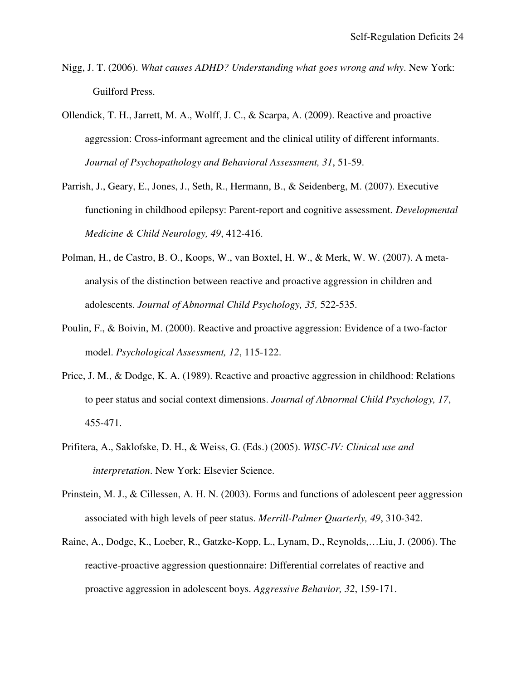- Nigg, J. T. (2006). *What causes ADHD? Understanding what goes wrong and why*. New York: Guilford Press.
- Ollendick, T. H., Jarrett, M. A., Wolff, J. C., & Scarpa, A. (2009). Reactive and proactive aggression: Cross-informant agreement and the clinical utility of different informants. *Journal of Psychopathology and Behavioral Assessment, 31*, 51-59.
- Parrish, J., Geary, E., Jones, J., Seth, R., Hermann, B., & Seidenberg, M. (2007). Executive functioning in childhood epilepsy: Parent-report and cognitive assessment. *Developmental Medicine & Child Neurology, 49*, 412-416.
- Polman, H., de Castro, B. O., Koops, W., van Boxtel, H. W., & Merk, W. W. (2007). A metaanalysis of the distinction between reactive and proactive aggression in children and adolescents. *Journal of Abnormal Child Psychology, 35,* 522-535.
- Poulin, F., & Boivin, M. (2000). Reactive and proactive aggression: Evidence of a two-factor model. *Psychological Assessment, 12*, 115-122.
- Price, J. M., & Dodge, K. A. (1989). Reactive and proactive aggression in childhood: Relations to peer status and social context dimensions. *Journal of Abnormal Child Psychology, 17*, 455-471.
- Prifitera, A., Saklofske, D. H., & Weiss, G. (Eds.) (2005). *WISC-IV: Clinical use and interpretation*. New York: Elsevier Science.
- Prinstein, M. J., & Cillessen, A. H. N. (2003). Forms and functions of adolescent peer aggression associated with high levels of peer status. *Merrill-Palmer Quarterly, 49*, 310-342.
- Raine, A., Dodge, K., Loeber, R., Gatzke-Kopp, L., Lynam, D., Reynolds,…Liu, J. (2006). The reactive-proactive aggression questionnaire: Differential correlates of reactive and proactive aggression in adolescent boys. *Aggressive Behavior, 32*, 159-171.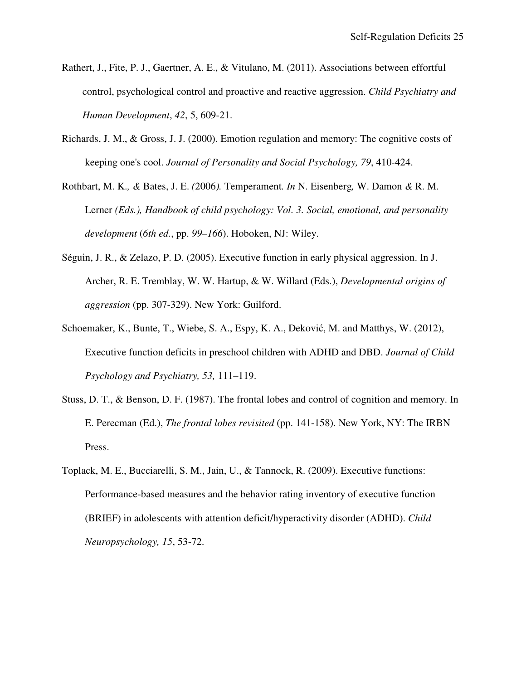- Rathert, J., Fite, P. J., Gaertner, A. E., & Vitulano, M. (2011). Associations between effortful control, psychological control and proactive and reactive aggression. *Child Psychiatry and Human Development*, *42*, 5, 609-21.
- Richards, J. M., & Gross, J. J. (2000). Emotion regulation and memory: The cognitive costs of keeping one's cool. *Journal of Personality and Social Psychology, 79*, 410-424.
- Rothbart, M. K.*, &* Bates, J. E. *(*2006*).* Temperament*. In* N. Eisenberg*,* W. Damon *&* R. M. Lerner *(Eds.), Handbook of child psychology: Vol. 3. Social, emotional, and personality development* (*6th ed.*, pp. *99*–*166*). Hoboken, NJ: Wiley.
- Séguin, J. R., & Zelazo, P. D. (2005). Executive function in early physical aggression. In J. Archer, R. E. Tremblay, W. W. Hartup, & W. Willard (Eds.), *Developmental origins of aggression* (pp. 307-329). New York: Guilford.
- Schoemaker, K., Bunte, T., Wiebe, S. A., Espy, K. A., Deković, M. and Matthys, W. (2012), Executive function deficits in preschool children with ADHD and DBD. *Journal of Child Psychology and Psychiatry, 53,* 111–119.
- Stuss, D. T., & Benson, D. F. (1987). The frontal lobes and control of cognition and memory. In E. Perecman (Ed.), *The frontal lobes revisited* (pp. 141-158). New York, NY: The IRBN Press.
- Toplack, M. E., Bucciarelli, S. M., Jain, U., & Tannock, R. (2009). Executive functions: Performance-based measures and the behavior rating inventory of executive function (BRIEF) in adolescents with attention deficit/hyperactivity disorder (ADHD). *Child Neuropsychology, 15*, 53-72.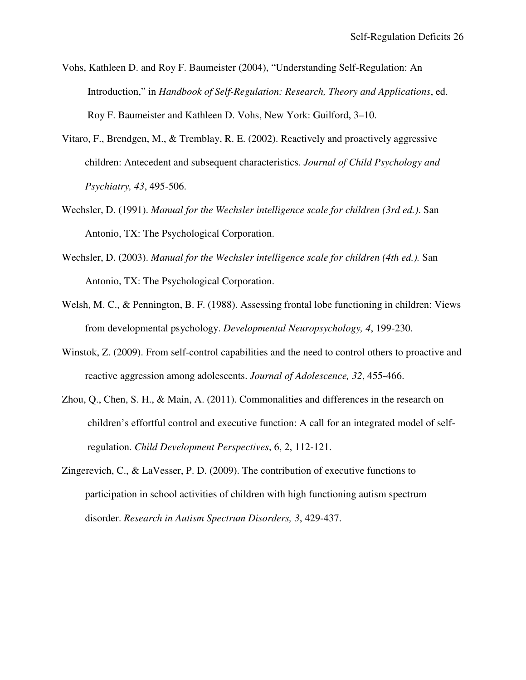- Vohs, Kathleen D. and Roy F. Baumeister (2004), "Understanding Self-Regulation: An Introduction," in *Handbook of Self-Regulation: Research, Theory and Applications*, ed. Roy F. Baumeister and Kathleen D. Vohs, New York: Guilford, 3–10.
- Vitaro, F., Brendgen, M., & Tremblay, R. E. (2002). Reactively and proactively aggressive children: Antecedent and subsequent characteristics. *Journal of Child Psychology and Psychiatry, 43*, 495-506.
- Wechsler, D. (1991). *Manual for the Wechsler intelligence scale for children (3rd ed.)*. San Antonio, TX: The Psychological Corporation.
- Wechsler, D. (2003). *Manual for the Wechsler intelligence scale for children (4th ed.).* San Antonio, TX: The Psychological Corporation.
- Welsh, M. C., & Pennington, B. F. (1988). Assessing frontal lobe functioning in children: Views from developmental psychology. *Developmental Neuropsychology, 4*, 199-230.
- Winstok, Z. (2009). From self-control capabilities and the need to control others to proactive and reactive aggression among adolescents. *Journal of Adolescence, 32*, 455-466.
- Zhou, Q., Chen, S. H., & Main, A. (2011). Commonalities and differences in the research on children's effortful control and executive function: A call for an integrated model of selfregulation. *Child Development Perspectives*, 6, 2, 112-121.
- Zingerevich, C., & LaVesser, P. D. (2009). The contribution of executive functions to participation in school activities of children with high functioning autism spectrum disorder. *Research in Autism Spectrum Disorders, 3*, 429-437.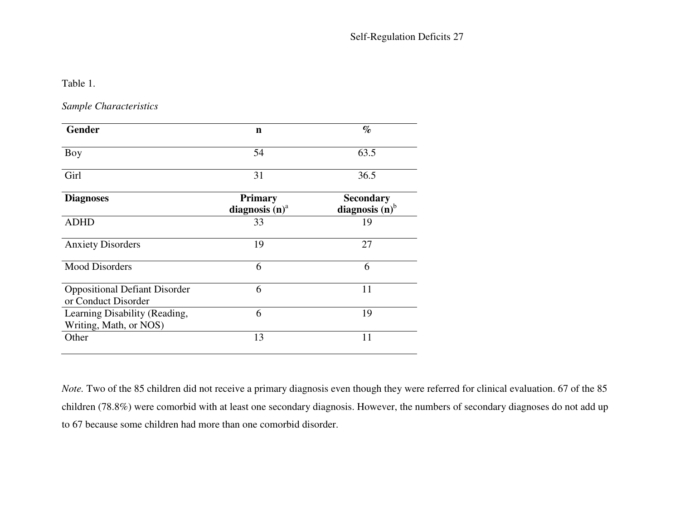Table 1.

*Sample Characteristics* 

| <b>Gender</b>                                               | n                                   | $\%$                                             |
|-------------------------------------------------------------|-------------------------------------|--------------------------------------------------|
| Boy                                                         | 54                                  | 63.5                                             |
| Girl                                                        | 31                                  | 36.5                                             |
| <b>Diagnoses</b>                                            | <b>Primary</b><br>diagnosis $(n)^a$ | <b>Secondary</b><br>diagnosis $(n)$ <sup>b</sup> |
| <b>ADHD</b>                                                 | 33                                  | 19                                               |
| <b>Anxiety Disorders</b>                                    | 19                                  | 27                                               |
| <b>Mood Disorders</b>                                       | 6                                   | 6                                                |
| <b>Oppositional Defiant Disorder</b><br>or Conduct Disorder | 6                                   | 11                                               |
| Learning Disability (Reading,<br>Writing, Math, or NOS)     | 6                                   | 19                                               |
| Other                                                       | 13                                  | 11                                               |

*Note.* Two of the 85 children did not receive a primary diagnosis even though they were referred for clinical evaluation. 67 of the 85 children (78.8%) were comorbid with at least one secondary diagnosis. However, the numbers of secondary diagnoses do not add up to 67 because some children had more than one comorbid disorder.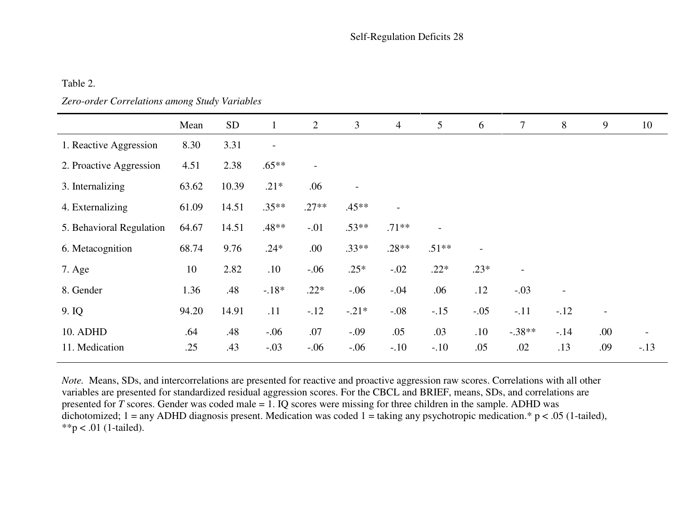## Table 2.

### *Zero-order Correlations among Study Variables*

|                          | Mean  | <b>SD</b> | $\mathbf{1}$             | $\overline{2}$           | 3                        | $\overline{4}$ | 5                        | 6                        | $\tau$                   | 8                        | 9   | 10     |
|--------------------------|-------|-----------|--------------------------|--------------------------|--------------------------|----------------|--------------------------|--------------------------|--------------------------|--------------------------|-----|--------|
| 1. Reactive Aggression   | 8.30  | 3.31      | $\overline{\phantom{a}}$ |                          |                          |                |                          |                          |                          |                          |     |        |
| 2. Proactive Aggression  | 4.51  | 2.38      | $.65**$                  | $\overline{\phantom{a}}$ |                          |                |                          |                          |                          |                          |     |        |
| 3. Internalizing         | 63.62 | 10.39     | $.21*$                   | .06                      | $\overline{\phantom{0}}$ |                |                          |                          |                          |                          |     |        |
| 4. Externalizing         | 61.09 | 14.51     | $.35**$                  | $.27**$                  | $.45**$                  |                |                          |                          |                          |                          |     |        |
| 5. Behavioral Regulation | 64.67 | 14.51     | $.48**$                  | $-.01$                   | $.53**$                  | $.71**$        | $\overline{\phantom{0}}$ |                          |                          |                          |     |        |
| 6. Metacognition         | 68.74 | 9.76      | $.24*$                   | .00.                     | $.33**$                  | $.28**$        | $.51**$                  | $\overline{\phantom{a}}$ |                          |                          |     |        |
| 7. Age                   | 10    | 2.82      | .10                      | $-.06$                   | $.25*$                   | $-.02$         | $.22*$                   | $.23*$                   | $\overline{\phantom{a}}$ |                          |     |        |
| 8. Gender                | 1.36  | .48       | $-.18*$                  | $.22*$                   | $-.06$                   | $-.04$         | .06                      | .12                      | $-.03$                   | $\overline{\phantom{a}}$ |     |        |
| 9. IQ                    | 94.20 | 14.91     | .11                      | $-.12$                   | $-.21*$                  | $-.08$         | $-.15$                   | $-.05$                   | $-.11$                   | $-.12$                   |     |        |
| 10. ADHD                 | .64   | .48       | $-.06$                   | .07                      | $-.09$                   | .05            | .03                      | .10                      | $-.38**$                 | $-14$                    | .00 |        |
| 11. Medication           | .25   | .43       | $-.03$                   | $-.06$                   | $-.06$                   | $-.10$         | $-.10$                   | .05                      | .02                      | .13                      | .09 | $-.13$ |

*Note.* Means, SDs, and intercorrelations are presented for reactive and proactive aggression raw scores. Correlations with all other variables are presented for standardized residual aggression scores. For the CBCL and BRIEF, means, SDs, and correlations are presented for *T* scores. Gender was coded male = 1. IQ scores were missing for three children in the sample. ADHD was dichotomized; 1 = any ADHD diagnosis present. Medication was coded 1 = taking any psychotropic medication.\* p < .05 (1-tailed),  $**p < .01$  (1-tailed).